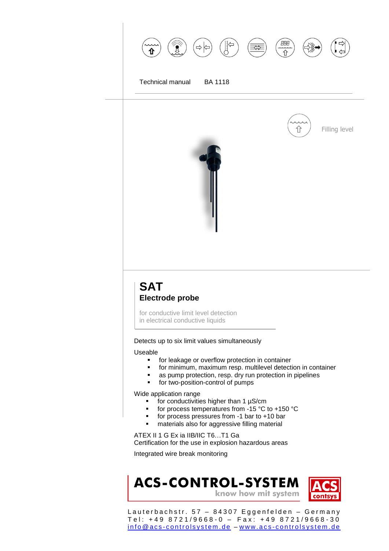

## **SAT Electrode probe**

for conductive limit level detection in electrical conductive liquids

Detects up to six limit values simultaneously

Useable

- **for leakage or overflow protection in container**
- **for minimum, maximum resp. multilevel detection in container**
- as pump protection, resp. dry run protection in pipelines
- **for two-position-control of pumps**

Wide application range

- $\blacksquare$  for conductivities higher than 1  $\mu$ S/cm
- for process temperatures from -15  $^{\circ}$ C to +150  $^{\circ}$ C
- for process pressures from  $-1$  bar to  $+10$  bar
- materials also for aggressive filling material

ATEX II 1 G Ex ia IIB/IIC T6…T1 Ga Certification for the use in explosion hazardous areas

Integrated wire break monitoring

## **ACS-CONTROL-SYSTEM** know how mit system

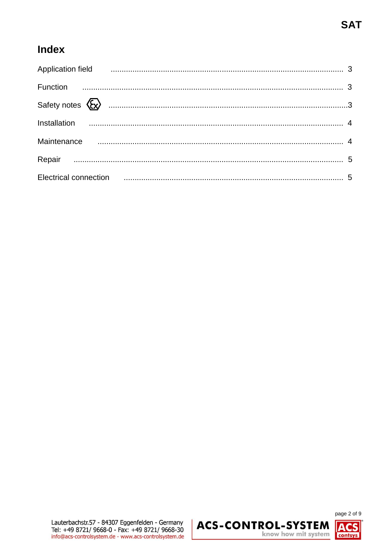# **Index**

| Application field <b>Communication</b> and the contract of the contract of the contract of the contract of the contract of the contract of the contract of the contract of the contract of the contract of the contract of the cont |  |
|-------------------------------------------------------------------------------------------------------------------------------------------------------------------------------------------------------------------------------------|--|
|                                                                                                                                                                                                                                     |  |
|                                                                                                                                                                                                                                     |  |
|                                                                                                                                                                                                                                     |  |
| Maintenance manufactured and the manufactured and the manufactured and the manufactured and the Maintenance of                                                                                                                      |  |
|                                                                                                                                                                                                                                     |  |
| Electrical connection <b>contraction Electrical</b> connection <b>contracts 5</b>                                                                                                                                                   |  |

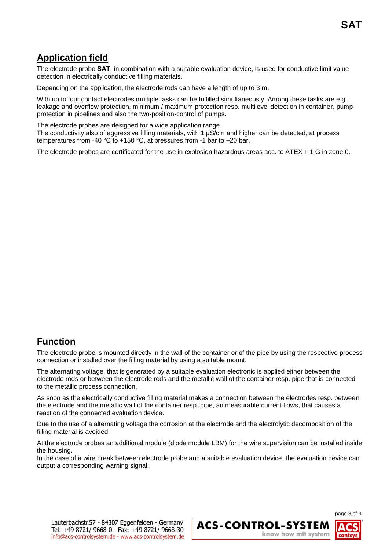## **Application field**

The electrode probe **SAT**, in combination with a suitable evaluation device, is used for conductive limit value detection in electrically conductive filling materials.

Depending on the application, the electrode rods can have a length of up to 3 m.

With up to four contact electrodes multiple tasks can be fulfilled simultaneously. Among these tasks are e.g. leakage and overflow protection, minimum / maximum protection resp. multilevel detection in container, pump protection in pipelines and also the two-position-control of pumps.

The electrode probes are designed for a wide application range.

The conductivity also of aggressive filling materials, with 1  $\mu$ S/cm and higher can be detected, at process temperatures from -40 °C to +150 °C, at pressures from -1 bar to +20 bar.

The electrode probes are certificated for the use in explosion hazardous areas acc. to ATEX II 1 G in zone 0.

## **Function**

The electrode probe is mounted directly in the wall of the container or of the pipe by using the respective process connection or installed over the filling material by using a suitable mount.

The alternating voltage, that is generated by a suitable evaluation electronic is applied either between the electrode rods or between the electrode rods and the metallic wall of the container resp. pipe that is connected to the metallic process connection.

As soon as the electrically conductive filling material makes a connection between the electrodes resp. between the electrode and the metallic wall of the container resp. pipe, an measurable current flows, that causes a reaction of the connected evaluation device.

Due to the use of a alternating voltage the corrosion at the electrode and the electrolytic decomposition of the filling material is avoided.

At the electrode probes an additional module (diode module LBM) for the wire supervision can be installed inside the housing.

In the case of a wire break between electrode probe and a suitable evaluation device, the evaluation device can output a corresponding warning signal.

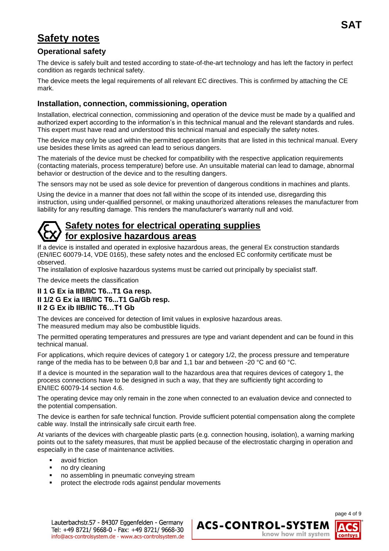# **Safety notes**

### **Operational safety**

The device is safely built and tested according to state-of-the-art technology and has left the factory in perfect condition as regards technical safety.

The device meets the legal requirements of all relevant EC directives. This is confirmed by attaching the CE mark.

### **Installation, connection, commissioning, operation**

Installation, electrical connection, commissioning and operation of the device must be made by a qualified and authorized expert according to the information's in this technical manual and the relevant standards and rules. This expert must have read and understood this technical manual and especially the safety notes.

The device may only be used within the permitted operation limits that are listed in this technical manual. Every use besides these limits as agreed can lead to serious dangers.

The materials of the device must be checked for compatibility with the respective application requirements (contacting materials, process temperature) before use. An unsuitable material can lead to damage, abnormal behavior or destruction of the device and to the resulting dangers.

The sensors may not be used as sole device for prevention of dangerous conditions in machines and plants.

Using the device in a manner that does not fall within the scope of its intended use, disregarding this instruction, using under-qualified personnel, or making unauthorized alterations releases the manufacturer from liability for any resulting damage. This renders the manufacturer's warranty null and void.

## **Safety notes for electrical operating supplies for explosive hazardous areas**

If a device is installed and operated in explosive hazardous areas, the general Ex construction standards (EN/IEC 60079-14, VDE 0165), these safety notes and the enclosed EC conformity certificate must be observed.

The installation of explosive hazardous systems must be carried out principally by specialist staff.

The device meets the classification

### **II 1 G Ex ia IIB/IIC T6...T1 Ga resp. II 1/2 G Ex ia IIB/IIC T6...T1 Ga/Gb resp. II 2 G Ex ib IIB/IIC T6…T1 Gb**

The devices are conceived for detection of limit values in explosive hazardous areas. The measured medium may also be combustible liquids.

The permitted operating temperatures and pressures are type and variant dependent and can be found in this technical manual.

For applications, which require devices of category 1 or category 1/2, the process pressure and temperature range of the media has to be between 0,8 bar and 1,1 bar and between -20 °C and 60 °C.

If a device is mounted in the separation wall to the hazardous area that requires devices of category 1, the process connections have to be designed in such a way, that they are sufficiently tight according to EN/IEC 60079-14 section 4.6.

The operating device may only remain in the zone when connected to an evaluation device and connected to the potential compensation.

The device is earthen for safe technical function. Provide sufficient potential compensation along the complete cable way. Install the intrinsically safe circuit earth free.

At variants of the devices with chargeable plastic parts (e.g. connection housing, isolation), a warning marking points out to the safety measures, that must be applied because of the electrostatic charging in operation and especially in the case of maintenance activities.

- **u** avoid friction
- no dry cleaning
- **no assembling in pneumatic conveying stream**
- **•** protect the electrode rods against pendular movements



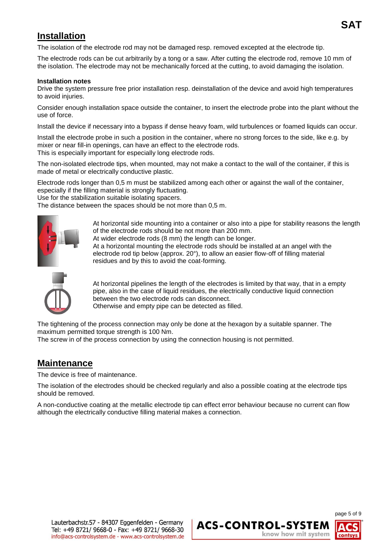## **Installation**

 The isolation of the electrode rod may not be damaged resp. removed excepted at the electrode tip.

The electrode rods can be cut arbitrarily by a tong or a saw. After cutting the electrode rod, remove 10 mm of the isolation. The electrode may not be mechanically forced at the cutting, to avoid damaging the isolation.

#### **Installation notes**

Drive the system pressure free prior installation resp. deinstallation of the device and avoid high temperatures to avoid injuries.

Consider enough installation space outside the container, to insert the electrode probe into the plant without the use of force.

Install the device if necessary into a bypass if dense heavy foam, wild turbulences or foamed liquids can occur.

Install the electrode probe in such a position in the container, where no strong forces to the side, like e.g. by mixer or near fill-in openings, can have an effect to the electrode rods. This is especially important for especially long electrode rods.

The non-isolated electrode tips, when mounted, may not make a contact to the wall of the container, if this is made of metal or electrically conductive plastic.

Electrode rods longer than 0,5 m must be stabilized among each other or against the wall of the container, especially if the filling material is strongly fluctuating.

Use for the stabilization suitable isolating spacers.

The distance between the spaces should be not more than 0,5 m.



At horizontal side mounting into a container or also into a pipe for stability reasons the length of the electrode rods should be not more than 200 mm.

At wider electrode rods (8 mm) the length can be longer.

At a horizontal mounting the electrode rods should be installed at an angel with the electrode rod tip below (approx. 20°), to allow an easier flow-off of filling material residues and by this to avoid the coat-forming.



At horizontal pipelines the length of the electrodes is limited by that way, that in a empty pipe, also in the case of liquid residues, the electrically conductive liquid connection between the two electrode rods can disconnect. Otherwise and empty pipe can be detected as filled.

The tightening of the process connection may only be done at the hexagon by a suitable spanner. The maximum permitted torque strength is 100 Nm.

The screw in of the process connection by using the connection housing is not permitted.

### **Maintenance**

The device is free of maintenance.

The isolation of the electrodes should be checked regularly and also a possible coating at the electrode tips should be removed.

A non-conductive coating at the metallic electrode tip can effect error behaviour because no current can flow although the electrically conductive filling material makes a connection.

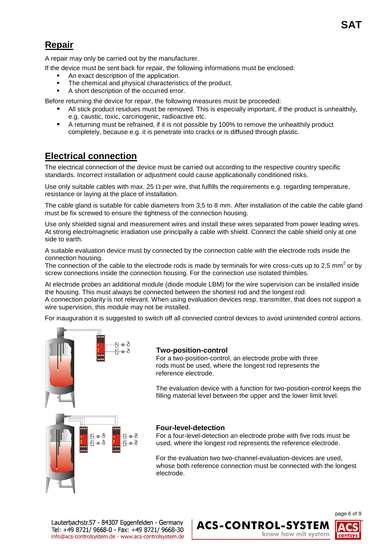## **Repair**

A repair may only be carried out by the manufacturer.

- If the device must be sent back for repair, the following informations must be enclosed:
	- An exact description of the application.
	- The chemical and physical characteristics of the product.
	- A short description of the occurred error.

Before returning the device for repair, the following measures must be proceeded:

- All stick product residues must be removed. This is especially important, if the product is unhealthily, e.g. caustic, toxic, carcinogenic, radioactive etc.
- A returning must be refrained, if it is not possible by 100% to remove the unhealthily product completely, because e.g. it is penetrate into cracks or is diffused through plastic.

## **Electrical connection**

The electrical connection of the device must be carried out according to the respective country specific standards. Incorrect installation or adjustment could cause applicationally conditioned risks.

Use only suitable cables with max. 25  $\Omega$  per wire, that fulfills the requirements e.g. regarding temperature, resistance or laying at the place of installation.

The cable gland is suitable for cable diameters from 3,5 to 8 mm. After installation of the cable the cable gland must be fix screwed to ensure the tightness of the connection housing.

Use only shielded signal and measurement wires and install these wires separated from power leading wires. At strong electromagnetic irradiation use principally a cable with shield. Connect the cable shield only at one side to earth.

A suitable evaluation device must by connected by the connection cable with the electrode rods inside the connection housing.

The connection of the cable to the electrode rods is made by terminals for wire cross-cuts up to 2,5 mm<sup>2</sup> or by screw connections inside the connection housing. For the connection use isolated thimbles.

At electrode probes an additional module (diode module LBM) for the wire supervision can be installed inside the housing. This must always be connected between the shortest rod and the longest rod. A connection polarity is not relevant. When using evaluation devices resp. transmitter, that does not support a wire supervision, this module may not be installed.

For inauguration it is suggested to switch off all connected control devices to avoid unintended control actions.



### **Two-position-control**

For a two-position-control, an electrode probe with three rods must be used, where the longest rod represents the reference electrode.

The evaluation device with a function for two-position-control keeps the filling material level between the upper and the lower limit level.

#### **Four-level-detection**

For a four-level-detection an electrode probe with five rods must be used, where the longest rod represents the reference electrode.

For the evaluation two two-channel-evaluation-devices are used, whose both reference connection must be connected with the longest electrode.

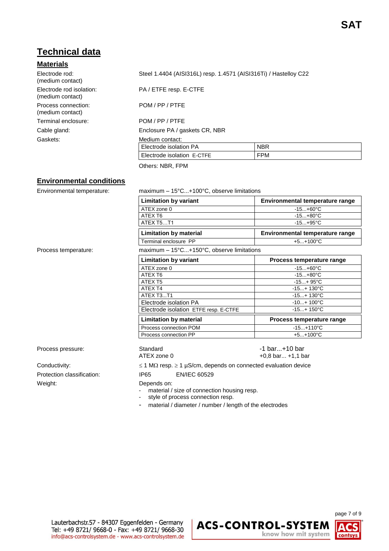## **Technical data**

### **Materials**

| Flectrode rod:<br>(medium contact)           |
|----------------------------------------------|
| Electrode rod isolation:<br>(medium contact) |
| Process connection:<br>(medium contact)      |
| Terminal enclosure:                          |
| Cable gland:                                 |
| Gaskets:                                     |
|                                              |

Steel 1.4404 (AISI316L) resp. 1.4571 (AISI316Ti) / Hastelloy C22

PA / ETFE resp. E-CTFE

POM / PP / PTFF

POM / PP / PTFE

Enclosure PA / gaskets CR, NBR

#### Medium contact:

| Electrode isolation PA     |     |
|----------------------------|-----|
| Electrode isolation E-CTFE | ™PM |

Others: NBR, FPM

### **Environmental conditions**

Environmental temperature: maximum – 15°C...+100°C, observe limitations

**Limitation by variant Environmental temperature range** ATEX zone 0 -15...+60°C ATEX T6 -15...+80°C ATEX T5...T1 -15...+95°C **Limitation by material Environmental temperature range** Terminal enclosure PP +5...+100°C Process temperature: maximum – 15°C...+150°C, observe limitations **Limitation by variant Theory Constraint Report Process temperature range** ATEX zone 0 -15...+60°C ATEX T6 -15...+80°C ATEX T5 -15...+ 95°C ATEX T4 -15...+ 130°C ATEX T3...T1 -15...+ 130°C

> Electrode isolation PA  $-10...+100°C$ Electrode isolation ETFE resp. E-CTFE | -15...+ 150°C **Limitation by material Process temperature range** Process connection POM -15...+110°C<br>Process connection PP -15...+100°C Process connection PP

Protection classification: IP65 EN/IEC 60529 Weight: Depends on:

Process pressure: The Standard Controller of the Standard Controller of the Standard Controller of bar...+10 bar ATEX zone 0  $+0.8$  bar... +1,1 bar Conductivity:  $\leq 1 M\Omega$  resp.  $\geq 1 \mu S/cm$ , depends on connected evaluation device

- material / size of connection housing resp.
- style of process connection resp.
- material / diameter / number / length of the electrodes

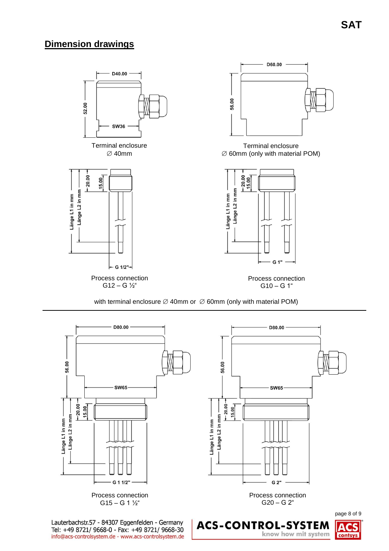## **Dimension drawings**



with terminal enclosure  $\varnothing$  40mm or  $\varnothing$  60mm (only with material POM)



know how mit system

contsys

Tel: +49 8721/ 9668-0 - Fax: +49 8721/ 9668-30 info@acs-controlsystem.de - www.acs-controlsystem.de